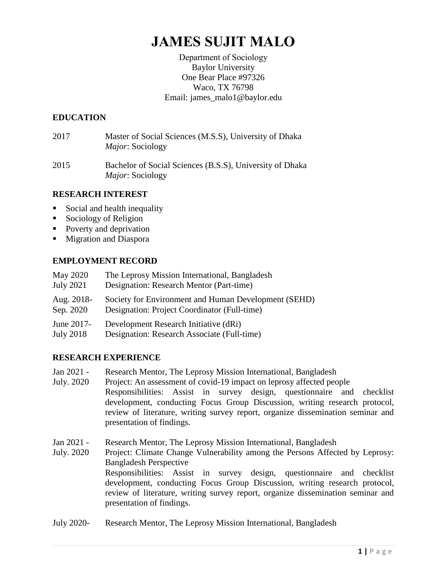# **JAMES SUJIT MALO**

Department of Sociology Baylor University One Bear Place #97326 Waco, TX 76798 Email: james\_malo1@baylor.edu

## **EDUCATION**

- 2017 Master of Social Sciences (M.S.S), University of Dhaka *Major*: Sociology
- 2015 Bachelor of Social Sciences (B.S.S), University of Dhaka *Major*: Sociology

## **RESEARCH INTEREST**

- Social and health inequality
- Sociology of Religion
- Poverty and deprivation
- **Migration and Diaspora**

# **EMPLOYMENT RECORD**

| <b>May 2020</b>  | The Leprosy Mission International, Bangladesh        |
|------------------|------------------------------------------------------|
| <b>July 2021</b> | Designation: Research Mentor (Part-time)             |
| Aug. 2018-       | Society for Environment and Human Development (SEHD) |
| Sep. 2020        | Designation: Project Coordinator (Full-time)         |
| June 2017-       | Development Research Initiative (dRi)                |
| July 2018        | Designation: Research Associate (Full-time)          |

# **RESEARCH EXPERIENCE**

- Jan 2021 Research Mentor, The Leprosy Mission International, Bangladesh
- July. 2020 Project: An assessment of covid-19 impact on leprosy affected people Responsibilities: Assist in survey design, questionnaire and checklist development, conducting Focus Group Discussion, writing research protocol, review of literature, writing survey report, organize dissemination seminar and presentation of findings.
- Jan 2021 Research Mentor, The Leprosy Mission International, Bangladesh
- July. 2020 Project: Climate Change Vulnerability among the Persons Affected by Leprosy: Bangladesh Perspective Responsibilities: Assist in survey design, questionnaire and checklist development, conducting Focus Group Discussion, writing research protocol, review of literature, writing survey report, organize dissemination seminar and presentation of findings.
- July 2020- Research Mentor, The Leprosy Mission International, Bangladesh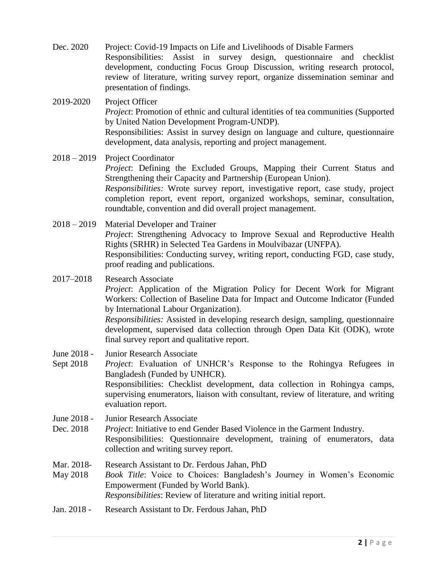Dec. 2020 Project: Covid-19 Impacts on Life and Livelihoods of Disable Farmers Responsibilities: Assist in survey design, questionnaire and checklist development, conducting Focus Group Discussion, writing research protocol, review of literature, writing survey report, organize dissemination seminar and presentation of findings.

2019-2020 Project Officer *Project*: Promotion of ethnic and cultural identities of tea communities (Supported by United Nation Development Program-UNDP). Responsibilities: Assist in survey design on language and culture, questionnaire development, data analysis, reporting and project management.

2018 – 2019 Project Coordinator *Project*: Defining the Excluded Groups, Mapping their Current Status and Strengthening their Capacity and Partnership (European Union). *Responsibilities:* Wrote survey report, investigative report, case study, project completion report, event report, organized workshops, seminar, consultation, roundtable, convention and did overall project management.

2018 – 2019 Material Developer and Trainer *Project*: Strengthening Advocacy to Improve Sexual and Reproductive Health Rights (SRHR) in Selected Tea Gardens in Moulvibazar (UNFPA). Responsibilities: Conducting survey, writing report, conducting FGD, case study, proof reading and publications.

2017–2018 Research Associate *Project*: Application of the Migration Policy for Decent Work for Migrant Workers: Collection of Baseline Data for Impact and Outcome Indicator (Funded by International Labour Organization). *Responsibilities:* Assisted in developing research design, sampling, questionnaire development, supervised data collection through Open Data Kit (ODK), wrote final survey report and qualitative report.

- June 2018 Junior Research Associate
- Sept 2018 *Project*: Evaluation of UNHCR's Response to the Rohingya Refugees in Bangladesh (Funded by UNHCR). Responsibilities: Checklist development, data collection in Rohingya camps, supervising enumerators, liaison with consultant, review of literature, and writing evaluation report.
- June 2018 Junior Research Associate
- Dec. 2018 *Project*: Initiative to end Gender Based Violence in the Garment Industry. Responsibilities: Questionnaire development, training of enumerators, data collection and writing survey report.
- Mar. 2018- Research Assistant to Dr. Ferdous Jahan, PhD
- May 2018 *Book Title*: Voice to Choices: Bangladesh's Journey in Women's Economic Empowerment (Funded by World Bank). *Responsibilities*: Review of literature and writing initial report.
- Jan. 2018 Research Assistant to Dr. Ferdous Jahan, PhD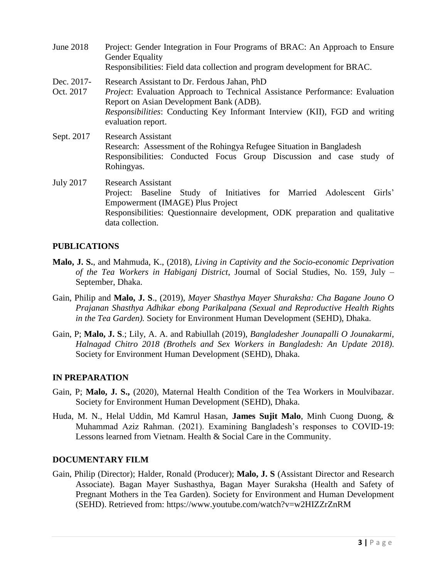June 2018 Project: Gender Integration in Four Programs of BRAC: An Approach to Ensure Gender Equality Responsibilities: Field data collection and program development for BRAC. Dec. 2017- Research Assistant to Dr. Ferdous Jahan, PhD Oct. 2017 *Project*: Evaluation Approach to Technical Assistance Performance: Evaluation Report on Asian Development Bank (ADB). *Responsibilities*: Conducting Key Informant Interview (KII), FGD and writing evaluation report. Sept. 2017 Research Assistant Research: Assessment of the Rohingya Refugee Situation in Bangladesh Responsibilities: Conducted Focus Group Discussion and case study of Rohingyas. July 2017 Research Assistant Project: Baseline Study of Initiatives for Married Adolescent Girls' Empowerment (IMAGE) Plus Project

Responsibilities: Questionnaire development, ODK preparation and qualitative data collection.

#### **PUBLICATIONS**

- **Malo, J. S.**, and Mahmuda, K., (2018), *Living in Captivity and the Socio-economic Deprivation of the Tea Workers in Habiganj District*, Journal of Social Studies, No. 159, July – September, Dhaka.
- Gain, Philip and **Malo, J. S**., (2019), *Mayer Shasthya Mayer Shuraksha: Cha Bagane Jouno O Prajanan Shasthya Adhikar ebong Parikalpana (Sexual and Reproductive Health Rights in the Tea Garden).* Society for Environment Human Development (SEHD), Dhaka.
- Gain, P; **Malo, J. S**.; Lily, A. A. and Rabiullah (2019), *Bangladesher Jounapalli O Jounakarmi, Halnagad Chitro 2018 (Brothels and Sex Workers in Bangladesh: An Update 2018)*. Society for Environment Human Development (SEHD), Dhaka.

#### **IN PREPARATION**

- Gain, P; **Malo, J. S.,** (2020), Maternal Health Condition of the Tea Workers in Moulvibazar. Society for Environment Human Development (SEHD), Dhaka.
- Huda, M. N., Helal Uddin, Md Kamrul Hasan, **James Sujit Malo**, Minh Cuong Duong, & Muhammad Aziz Rahman. (2021). Examining Bangladesh's responses to COVID-19: Lessons learned from Vietnam. Health & Social Care in the Community.

#### **DOCUMENTARY FILM**

Gain, Philip (Director); Halder, Ronald (Producer); **Malo, J. S** (Assistant Director and Research Associate). Bagan Mayer Sushasthya, Bagan Mayer Suraksha (Health and Safety of Pregnant Mothers in the Tea Garden). Society for Environment and Human Development (SEHD). Retrieved from: https://www.youtube.com/watch?v=w2HIZZrZnRM